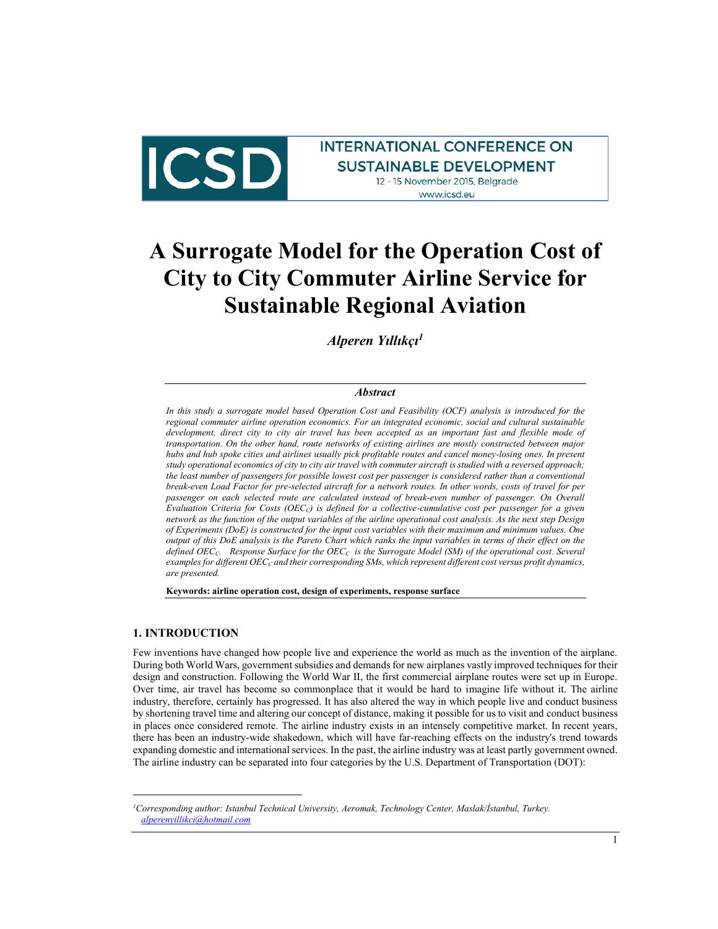

# **INTERNATIONAL CONFERENCE ON SUSTAINABLE DEVELOPMENT** 12 - 15 November 2015, Belgrade www.icsd.eu

# **A Surrogate Model for the Operation Cost of City to City Commuter Airline Service for Sustainable Regional Aviation**

*Alperen Yıllıkçı<sup>1</sup>*

#### *Abstract*

*In this study a surrogate model based Operation Cost and Feasibility (OCF) analysis is introduced for the regional commuter airline operation economics. For an integrated economic, social and cultural sustainable development, direct city to city air travel has been accepted as an important fast and flexible mode of transportation. On the other hand, route networks of existing airlines are mostly constructed between major hubs and hub spoke cities and airlines usually pick profitable routes and cancel money-losing ones. In present study operational economics of city to city air travel with commuter aircraft is studied with a reversed approach; the least number of passengers for possible lowest cost per passenger is considered rather than a conventional break-even Load Factor for pre-selected aircraft for a network routes. In other words, costs of travel for per passenger on each selected route are calculated instead of break-even number of passenger. On Overall Evaluation Criteria for Costs (OECC) is defined for a collective-cumulative cost per passenger for a given network as the function of the output variables of the airline operational cost analysis. As the next step Design of Experiments (DoE) is constructed for the input cost variables with their maximum and minimum values. One output of this DoE analysis is the Pareto Chart which ranks the input variables in terms of their effect on the defined OECC. Response Surface for the OEC<sup>C</sup> is the Surrogate Model (SM) of the operational cost. Several examples for different OEC<sup>C</sup> and their corresponding SMs, which represent different cost versus profit dynamics, are presented.*

**Keywords: airline operation cost, design of experiments, response surface**

#### **1. INTRODUCTION**

j

Few inventions have changed how people live and experience the world as much as the invention of the airplane. During both World Wars, government subsidies and demands for new airplanes vastly improved techniques for their design and construction. Following the World War II, the first commercial airplane routes were set up in Europe. Over time, air travel has become so commonplace that it would be hard to imagine life without it. The airline industry, therefore, certainly has progressed. It has also altered the way in which people live and conduct business by shortening travel time and altering our concept of distance, making it possible for us to visit and conduct business in places once considered remote. The airline industry exists in an intensely competitive market. In recent years, there has been an industry-wide shakedown, which will have far-reaching effects on the industry's trend towards expanding domestic and international services. In the past, the airline industry was at least partly government owned. The airline industry can be separated into four categories by the U.S. Department of Transportation (DOT):

*<sup>1</sup>Corresponding author: Istanbul Technical University, Aeromak, Technology Center, Maslak/İstanbul, Turkey. [alperenyillikci@hotmail.com](mailto:alperenyillikci@hotmail.com)*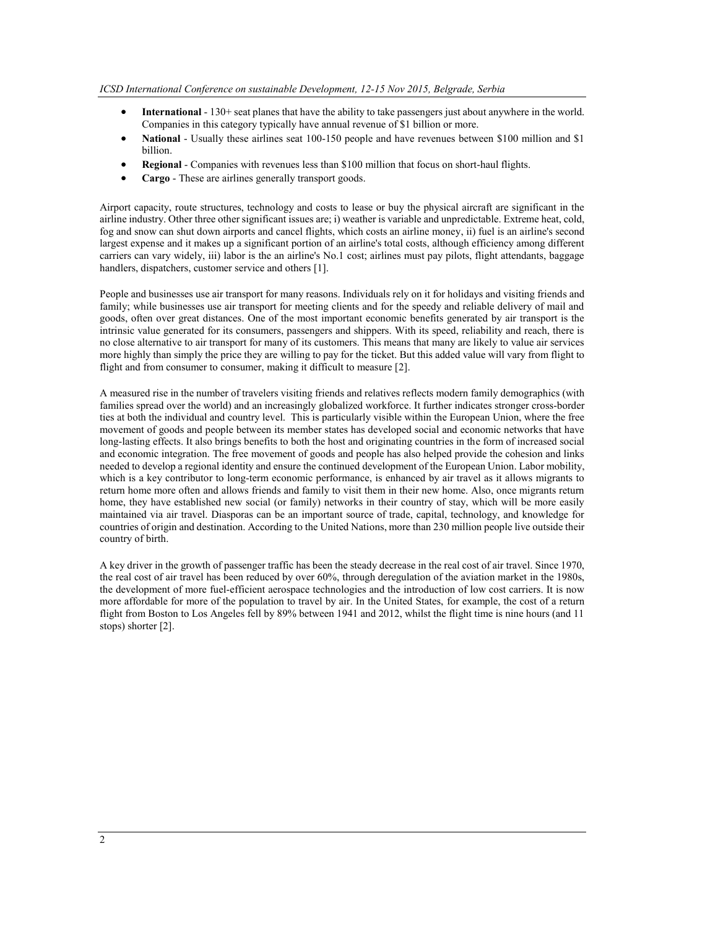- **International**  130+ seat planes that have the ability to take passengers just about anywhere in the world. Companies in this category typically have annual revenue of \$1 billion or more.
- **National** Usually these airlines seat 100-150 people and have revenues between \$100 million and \$1 billion.
- **Regional**  Companies with revenues less than \$100 million that focus on short-haul flights.
- **Cargo** These are airlines generally transport goods.

Airport capacity, route structures, technology and costs to lease or buy the physical aircraft are significant in the airline industry. Other three other significant issues are; i) weather is variable and unpredictable. Extreme heat, cold, fog and snow can shut down airports and cancel flights, which costs an airline money, ii) fuel is an airline's second largest expense and it makes up a significant portion of an airline's total costs, although efficiency among different carriers can vary widely, iii) labor is the an airline's No.1 cost; airlines must pay pilots, flight attendants, baggage handlers, dispatchers, customer service and others [1].

People and businesses use air transport for many reasons. Individuals rely on it for holidays and visiting friends and family; while businesses use air transport for meeting clients and for the speedy and reliable delivery of mail and goods, often over great distances. One of the most important economic benefits generated by air transport is the intrinsic value generated for its consumers, passengers and shippers. With its speed, reliability and reach, there is no close alternative to air transport for many of its customers. This means that many are likely to value air services more highly than simply the price they are willing to pay for the ticket. But this added value will vary from flight to flight and from consumer to consumer, making it difficult to measure [2].

A measured rise in the number of travelers visiting friends and relatives reflects modern family demographics (with families spread over the world) and an increasingly globalized workforce. It further indicates stronger cross-border ties at both the individual and country level. This is particularly visible within the European Union, where the free movement of goods and people between its member states has developed social and economic networks that have long-lasting effects. It also brings benefits to both the host and originating countries in the form of increased social and economic integration. The free movement of goods and people has also helped provide the cohesion and links needed to develop a regional identity and ensure the continued development of the European Union. Labor mobility, which is a key contributor to long-term economic performance, is enhanced by air travel as it allows migrants to return home more often and allows friends and family to visit them in their new home. Also, once migrants return home, they have established new social (or family) networks in their country of stay, which will be more easily maintained via air travel. Diasporas can be an important source of trade, capital, technology, and knowledge for countries of origin and destination. According to the United Nations, more than 230 million people live outside their country of birth.

A key driver in the growth of passenger traffic has been the steady decrease in the real cost of air travel. Since 1970, the real cost of air travel has been reduced by over 60%, through deregulation of the aviation market in the 1980s, the development of more fuel-efficient aerospace technologies and the introduction of low cost carriers. It is now more affordable for more of the population to travel by air. In the United States, for example, the cost of a return flight from Boston to Los Angeles fell by 89% between 1941 and 2012, whilst the flight time is nine hours (and 11 stops) shorter [2].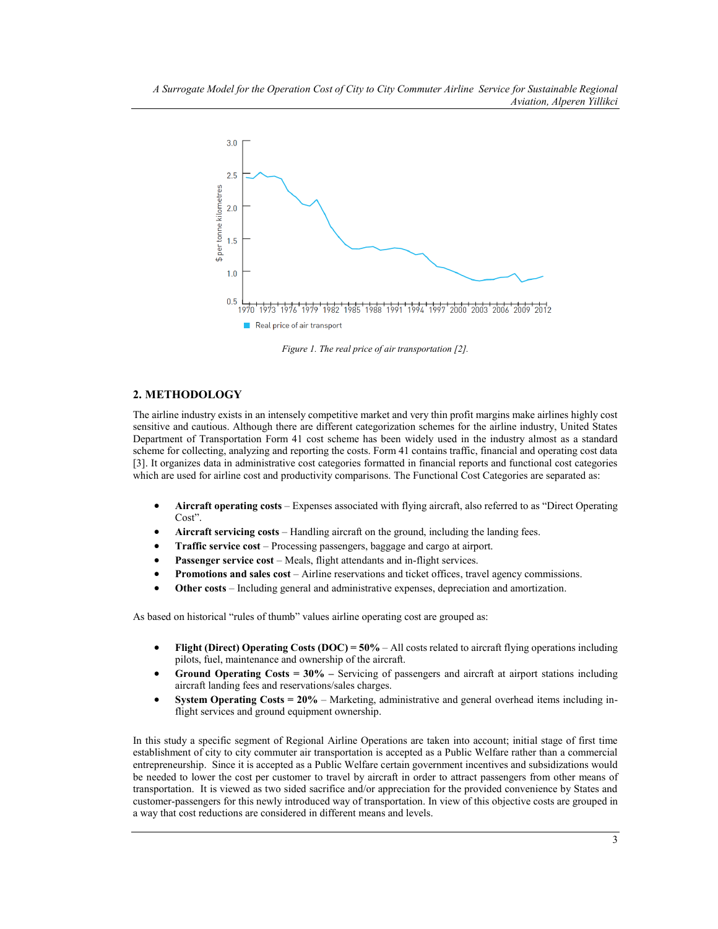

*Figure 1. The real price of air transportation [2].* 

# **2. METHODOLOGY**

The airline industry exists in an intensely competitive market and very thin profit margins make airlines highly cost sensitive and cautious. Although there are different categorization schemes for the airline industry, United States Department of Transportation Form 41 cost scheme has been widely used in the industry almost as a standard scheme for collecting, analyzing and reporting the costs. Form 41 contains traffic, financial and operating cost data [3]. It organizes data in administrative cost categories formatted in financial reports and functional cost categories which are used for airline cost and productivity comparisons. The Functional Cost Categories are separated as:

- **Aircraft operating costs**  Expenses associated with flying aircraft, also referred to as "Direct Operating Cost".
- **Aircraft servicing costs** Handling aircraft on the ground, including the landing fees.
- **Traffic service cost**  Processing passengers, baggage and cargo at airport.
- **Passenger service cost** Meals, flight attendants and in-flight services.
- **Promotions and sales cost** Airline reservations and ticket offices, travel agency commissions.
- **Other costs** Including general and administrative expenses, depreciation and amortization.

As based on historical "rules of thumb" values airline operating cost are grouped as:

- **Flight (Direct) Operating Costs (DOC) = 50% All costs related to aircraft flying operations including** pilots, fuel, maintenance and ownership of the aircraft.
- **Ground Operating Costs = 30% –** Servicing of passengers and aircraft at airport stations including aircraft landing fees and reservations/sales charges.
- **System Operating Costs = 20%** Marketing, administrative and general overhead items including inflight services and ground equipment ownership.

In this study a specific segment of Regional Airline Operations are taken into account; initial stage of first time establishment of city to city commuter air transportation is accepted as a Public Welfare rather than a commercial entrepreneurship. Since it is accepted as a Public Welfare certain government incentives and subsidizations would be needed to lower the cost per customer to travel by aircraft in order to attract passengers from other means of transportation. It is viewed as two sided sacrifice and/or appreciation for the provided convenience by States and customer-passengers for this newly introduced way of transportation. In view of this objective costs are grouped in a way that cost reductions are considered in different means and levels.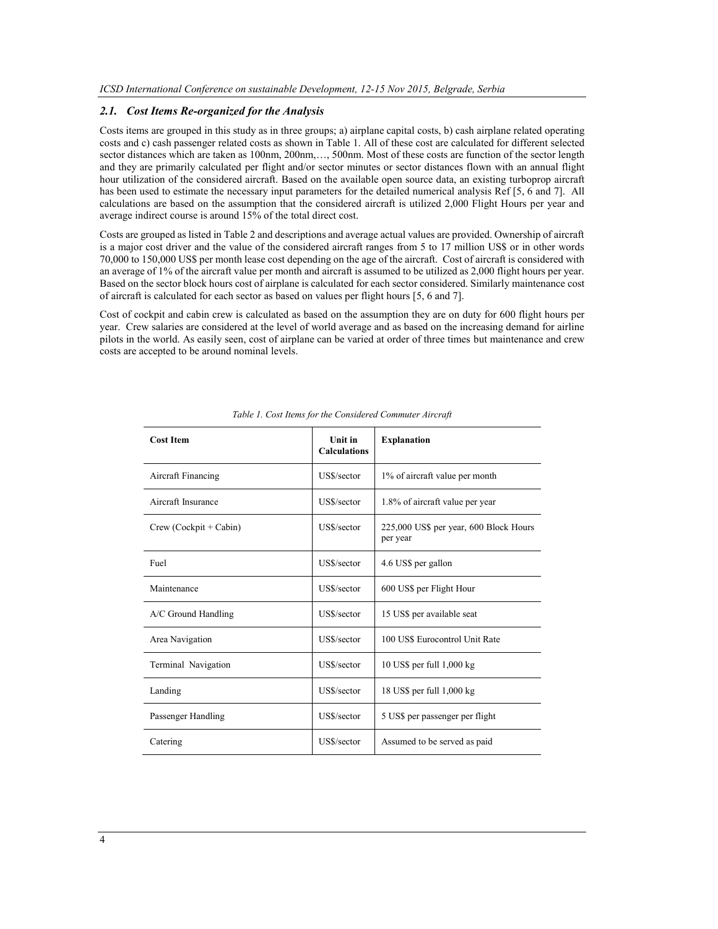#### *2.1. Cost Items Re-organized for the Analysis*

Costs items are grouped in this study as in three groups; a) airplane capital costs, b) cash airplane related operating costs and c) cash passenger related costs as shown in Table 1. All of these cost are calculated for different selected sector distances which are taken as 100nm, 200nm,..., 500nm. Most of these costs are function of the sector length and they are primarily calculated per flight and/or sector minutes or sector distances flown with an annual flight hour utilization of the considered aircraft. Based on the available open source data, an existing turboprop aircraft has been used to estimate the necessary input parameters for the detailed numerical analysis Ref [5, 6 and 7]. All calculations are based on the assumption that the considered aircraft is utilized 2,000 Flight Hours per year and average indirect course is around 15% of the total direct cost.

Costs are grouped as listed in Table 2 and descriptions and average actual values are provided. Ownership of aircraft is a major cost driver and the value of the considered aircraft ranges from 5 to 17 million US\$ or in other words 70,000 to 150,000 US\$ per month lease cost depending on the age of the aircraft. Cost of aircraft is considered with an average of 1% of the aircraft value per month and aircraft is assumed to be utilized as 2,000 flight hours per year. Based on the sector block hours cost of airplane is calculated for each sector considered. Similarly maintenance cost of aircraft is calculated for each sector as based on values per flight hours [5, 6 and 7].

Cost of cockpit and cabin crew is calculated as based on the assumption they are on duty for 600 flight hours per year. Crew salaries are considered at the level of world average and as based on the increasing demand for airline pilots in the world. As easily seen, cost of airplane can be varied at order of three times but maintenance and crew costs are accepted to be around nominal levels.

| <b>Cost Item</b>         | <b>Unit in</b><br><b>Calculations</b> | <b>Explanation</b>                                 |
|--------------------------|---------------------------------------|----------------------------------------------------|
| Aircraft Financing       | US\$/sector                           | 1% of aircraft value per month                     |
| Aircraft Insurance       | US\$/sector                           | 1.8% of aircraft value per year                    |
| $Crew (Cockpit + Cabin)$ | US\$/sector                           | 225,000 US\$ per year, 600 Block Hours<br>per year |
| Fuel                     | US\$/sector                           | 4.6 US\$ per gallon                                |
| Maintenance              | US\$/sector                           | 600 US\$ per Flight Hour                           |
| A/C Ground Handling      | US\$/sector                           | 15 US\$ per available seat                         |
| Area Navigation          | US\$/sector                           | 100 US\$ Eurocontrol Unit Rate                     |
| Terminal Navigation      | US\$/sector                           | 10 US\$ per full 1,000 kg                          |
| Landing                  | US\$/sector                           | 18 US\$ per full 1,000 kg                          |
| Passenger Handling       | US\$/sector                           | 5 US\$ per passenger per flight                    |
| Catering                 | US\$/sector                           | Assumed to be served as paid                       |

*Table 1. Cost Items for the Considered Commuter Aircraft*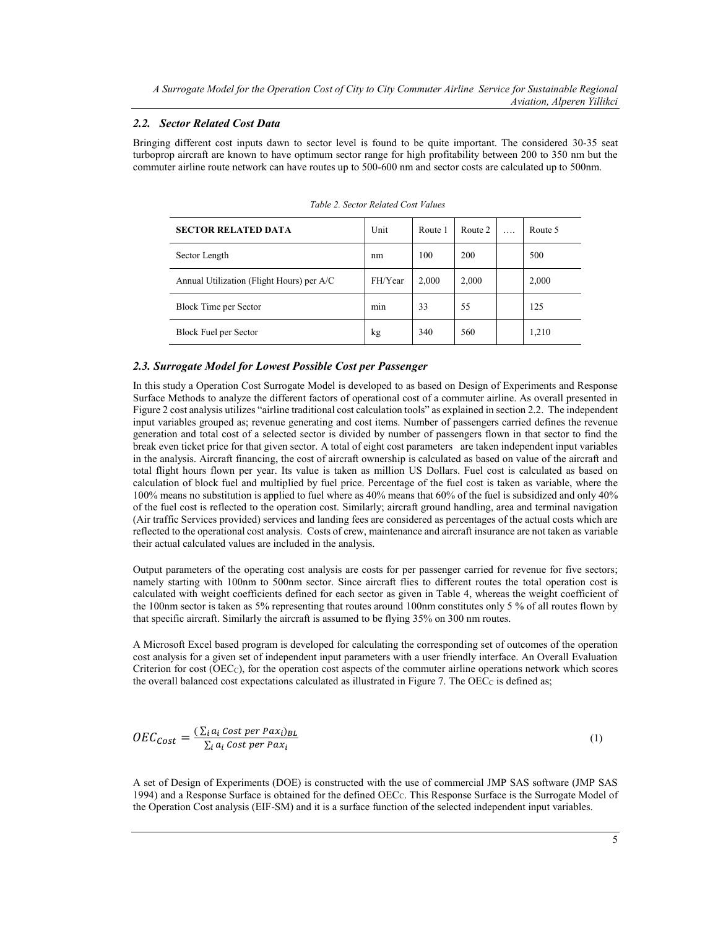#### *2.2. Sector Related Cost Data*

Bringing different cost inputs dawn to sector level is found to be quite important. The considered 30-35 seat turboprop aircraft are known to have optimum sector range for high profitability between 200 to 350 nm but the commuter airline route network can have routes up to 500-600 nm and sector costs are calculated up to 500nm.

| <b>SECTOR RELATED DATA</b>                | Unit    | Route 1 | Route 2 | . | Route 5 |
|-------------------------------------------|---------|---------|---------|---|---------|
| Sector Length                             | nm      | 100     | 200     |   | 500     |
| Annual Utilization (Flight Hours) per A/C | FH/Year | 2,000   | 2,000   |   | 2,000   |
| Block Time per Sector                     | min     | 33      | 55      |   | 125     |
| Block Fuel per Sector                     | kg      | 340     | 560     |   | 1,210   |

*Table 2. Sector Related Cost Values* 

## *2.3. Surrogate Model for Lowest Possible Cost per Passenger*

In this study a Operation Cost Surrogate Model is developed to as based on Design of Experiments and Response Surface Methods to analyze the different factors of operational cost of a commuter airline. As overall presented in Figure 2 cost analysis utilizes "airline traditional cost calculation tools" as explained in section 2.2. The independent input variables grouped as; revenue generating and cost items. Number of passengers carried defines the revenue generation and total cost of a selected sector is divided by number of passengers flown in that sector to find the break even ticket price for that given sector. A total of eight cost parameters are taken independent input variables in the analysis. Aircraft financing, the cost of aircraft ownership is calculated as based on value of the aircraft and total flight hours flown per year. Its value is taken as million US Dollars. Fuel cost is calculated as based on calculation of block fuel and multiplied by fuel price. Percentage of the fuel cost is taken as variable, where the 100% means no substitution is applied to fuel where as 40% means that 60% of the fuel is subsidized and only 40% of the fuel cost is reflected to the operation cost. Similarly; aircraft ground handling, area and terminal navigation (Air traffic Services provided) services and landing fees are considered as percentages of the actual costs which are reflected to the operational cost analysis. Costs of crew, maintenance and aircraft insurance are not taken as variable their actual calculated values are included in the analysis.

Output parameters of the operating cost analysis are costs for per passenger carried for revenue for five sectors; namely starting with 100nm to 500nm sector. Since aircraft flies to different routes the total operation cost is calculated with weight coefficients defined for each sector as given in Table 4, whereas the weight coefficient of the 100nm sector is taken as 5% representing that routes around 100nm constitutes only 5 % of all routes flown by that specific aircraft. Similarly the aircraft is assumed to be flying 35% on 300 nm routes.

A Microsoft Excel based program is developed for calculating the corresponding set of outcomes of the operation cost analysis for a given set of independent input parameters with a user friendly interface. An Overall Evaluation Criterion for cost (OECC), for the operation cost aspects of the commuter airline operations network which scores the overall balanced cost expectations calculated as illustrated in Figure 7. The OEC<sub>C</sub> is defined as;

$$
OEC_{Cost} = \frac{\left(\sum_{i} a_i \cos t \, per \, P a x_i\right)_{BL}}{\sum_{i} a_i \cos t \, per \, P a x_i}
$$
\n<sup>(1)</sup>

A set of Design of Experiments (DOE) is constructed with the use of commercial JMP SAS software (JMP SAS 1994) and a Response Surface is obtained for the defined OECC. This Response Surface is the Surrogate Model of the Operation Cost analysis (EIF-SM) and it is a surface function of the selected independent input variables.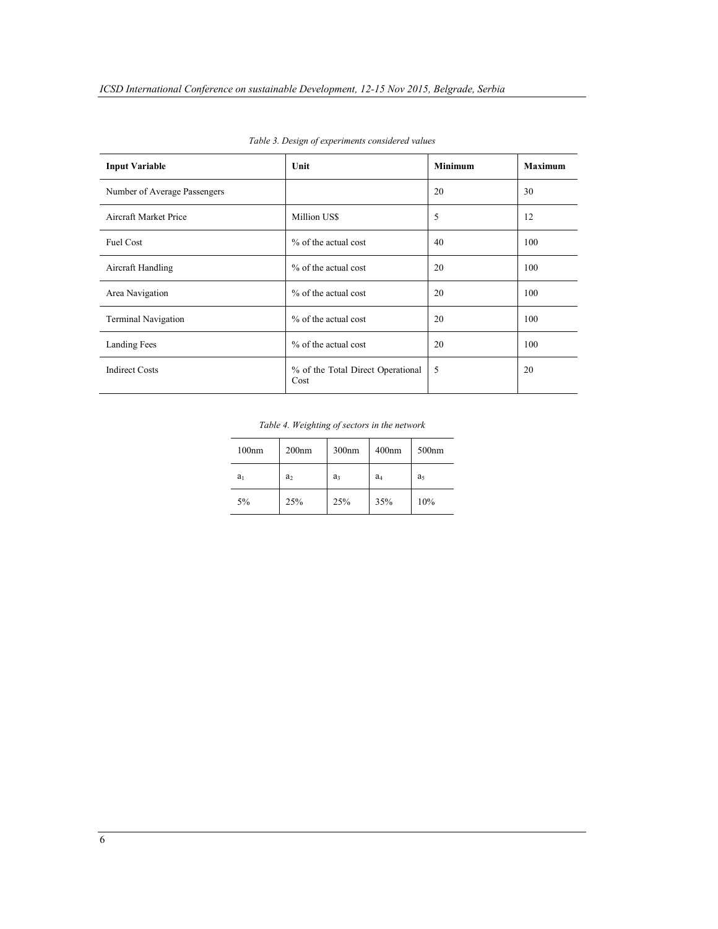| <b>Input Variable</b>        | Unit                                      | <b>Minimum</b> | <b>Maximum</b> |
|------------------------------|-------------------------------------------|----------------|----------------|
| Number of Average Passengers |                                           | 20             | 30             |
| Aircraft Market Price        | Million US\$                              | 5              | 12             |
| Fuel Cost                    | % of the actual cost                      | 40             | 100            |
| Aircraft Handling            | % of the actual cost                      | 20             | 100            |
| Area Navigation              | % of the actual cost                      | 20             | 100            |
| <b>Terminal Navigation</b>   | % of the actual cost                      | 20             | 100            |
| Landing Fees                 | % of the actual cost                      | 20             | 100            |
| <b>Indirect Costs</b>        | % of the Total Direct Operational<br>Cost | 5              | 20             |

*Table 3. Design of experiments considered values*

*Table 4. Weighting of sectors in the network*

| 100nm          | 200 <sub>nm</sub> | 300nm          | 400 <sub>nm</sub> | 500 <sub>nm</sub> |
|----------------|-------------------|----------------|-------------------|-------------------|
| a <sub>1</sub> | a <sub>2</sub>    | a <sub>3</sub> | a <sub>4</sub>    | a <sub>5</sub>    |
| 5%             | 25%               | 25%            | 35%               | 10%               |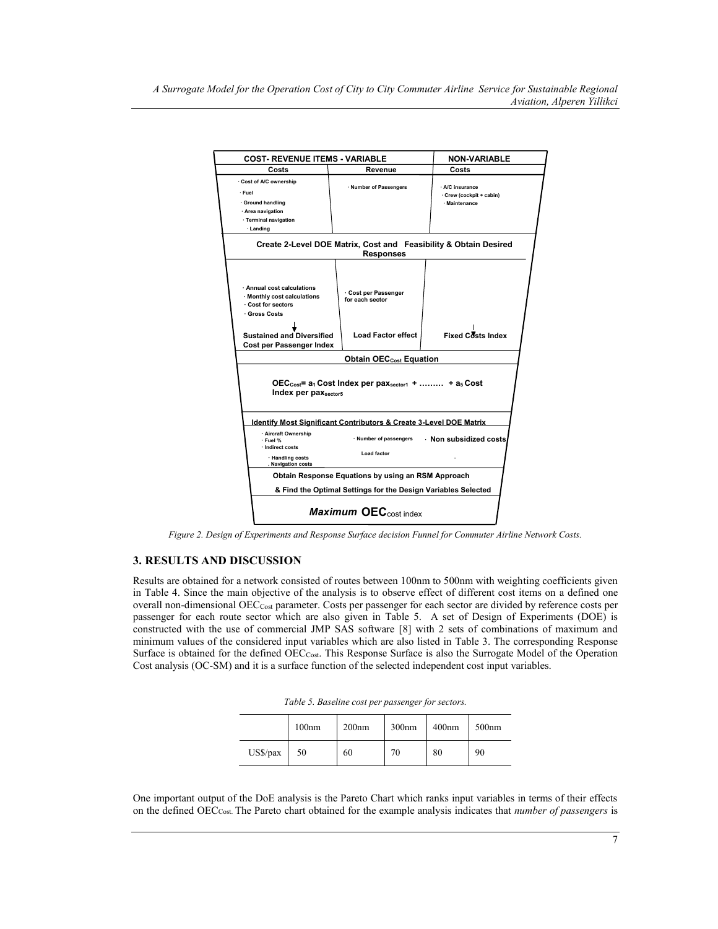|                                                                                                                                    | <b>COST- REVENUE ITEMS - VARIABLE</b>                                                                                                                          |                                                                                                                    | <b>NON-VARIABLE</b>                                        |  |  |
|------------------------------------------------------------------------------------------------------------------------------------|----------------------------------------------------------------------------------------------------------------------------------------------------------------|--------------------------------------------------------------------------------------------------------------------|------------------------------------------------------------|--|--|
| Costs                                                                                                                              |                                                                                                                                                                | Revenue                                                                                                            | Costs                                                      |  |  |
|                                                                                                                                    | Cost of A/C ownership<br>· Fuel<br>· Ground handling<br>· Area navigation<br>· Terminal navigation<br>· Landing                                                | · Number of Passengers                                                                                             | · A/C insurance<br>Crew (cockpit + cabin)<br>· Maintenance |  |  |
|                                                                                                                                    |                                                                                                                                                                | Create 2-Level DOE Matrix, Cost and Feasibility & Obtain Desired<br><b>Responses</b>                               |                                                            |  |  |
|                                                                                                                                    | · Annual cost calculations<br>· Monthly cost calculations<br>Cost for sectors<br>⋅ Gross Costs<br><b>Sustained and Diversified</b><br>Cost per Passenger Index | Cost per Passenger<br>for each sector<br><b>Load Factor effect</b>                                                 | Fixed Costs Index                                          |  |  |
|                                                                                                                                    | <b>Obtain OEC<sub>cost</sub></b> Equation                                                                                                                      |                                                                                                                    |                                                            |  |  |
| $\text{OEC}_{\text{Cost}}$ = a <sub>1</sub> Cost Index per pax <sub>sector1</sub> +  + a <sub>5</sub> Cost<br>Index per paxsector5 |                                                                                                                                                                |                                                                                                                    |                                                            |  |  |
|                                                                                                                                    | · Aircraft Ownership<br>· Fuel %<br>· Indirect costs<br>· Handling costs<br>. Navigation costs                                                                 | Identify Most Significant Contributors & Create 3-Level DOE Matrix<br>· Number of passengers<br><b>Load factor</b> | Non subsidized costs                                       |  |  |
|                                                                                                                                    | Obtain Response Equations by using an RSM Approach                                                                                                             |                                                                                                                    |                                                            |  |  |
|                                                                                                                                    | & Find the Optimal Settings for the Design Variables Selected                                                                                                  |                                                                                                                    |                                                            |  |  |
|                                                                                                                                    | Maximum OEC <sub>cost index</sub>                                                                                                                              |                                                                                                                    |                                                            |  |  |

*Figure 2. Design of Experiments and Response Surface decision Funnel for Commuter Airline Network Costs.*

# **3. RESULTS AND DISCUSSION**

Results are obtained for a network consisted of routes between 100nm to 500nm with weighting coefficients given in Table 4. Since the main objective of the analysis is to observe effect of different cost items on a defined one overall non-dimensional OECCost parameter. Costs per passenger for each sector are divided by reference costs per passenger for each route sector which are also given in Table 5. A set of Design of Experiments (DOE) is constructed with the use of commercial JMP SAS software [8] with 2 sets of combinations of maximum and minimum values of the considered input variables which are also listed in Table 3. The corresponding Response Surface is obtained for the defined OECCost. This Response Surface is also the Surrogate Model of the Operation Cost analysis (OC-SM) and it is a surface function of the selected independent cost input variables.

|          | 100nm | 200nm | 300 <sub>nm</sub> | 400 <sub>nm</sub> | 500 <sub>nm</sub> |
|----------|-------|-------|-------------------|-------------------|-------------------|
| US\$/pax | 50    | 60    | 70                | 80                | 90                |

One important output of the DoE analysis is the Pareto Chart which ranks input variables in terms of their effects on the defined OECCost. The Pareto chart obtained for the example analysis indicates that *number of passengers* is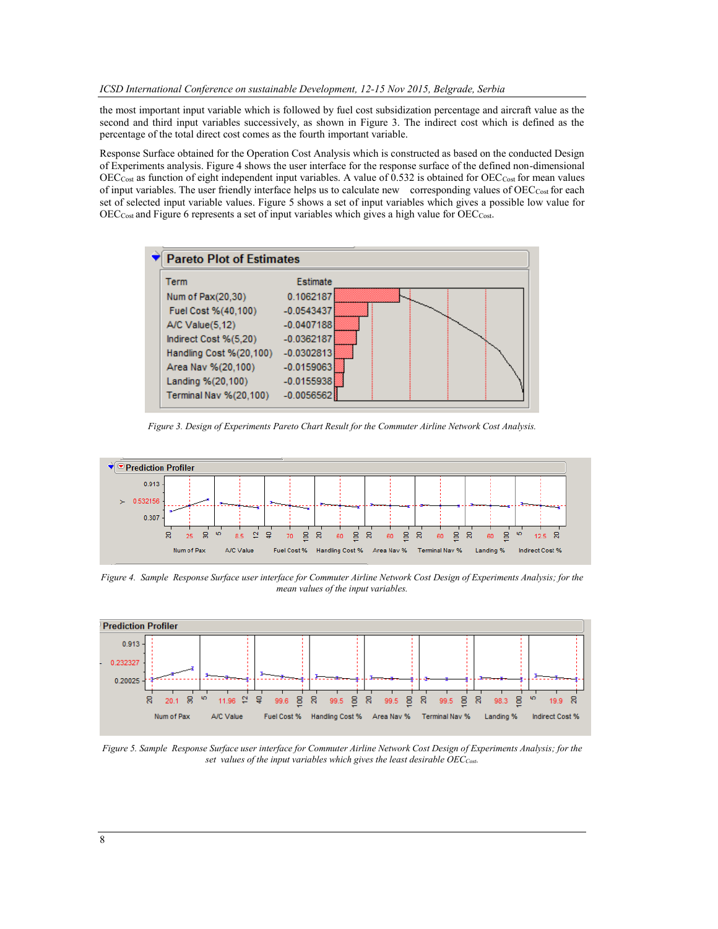the most important input variable which is followed by fuel cost subsidization percentage and aircraft value as the second and third input variables successively, as shown in Figure 3. The indirect cost which is defined as the percentage of the total direct cost comes as the fourth important variable.

Response Surface obtained for the Operation Cost Analysis which is constructed as based on the conducted Design of Experiments analysis. Figure 4 shows the user interface for the response surface of the defined non-dimensional  $\rm{OEC}_{\rm{Cost}}$  as function of eight independent input variables. A value of 0.532 is obtained for  $\rm{OEC}_{\rm{Cost}}$  for mean values of input variables. The user friendly interface helps us to calculate new corresponding values of OECCost for each set of selected input variable values. Figure 5 shows a set of input variables which gives a possible low value for  $\rm{OEC}_{\rm{Cost}}$  and Figure 6 represents a set of input variables which gives a high value for  $\rm{OEC}_{\rm{Cost}}$ .



*Figure 3. Design of Experiments Pareto Chart Result for the Commuter Airline Network Cost Analysis.*



*Figure 4. Sample Response Surface user interface for Commuter Airline Network Cost Design of Experiments Analysis; for the mean values of the input variables.* 



*Figure 5. Sample Response Surface user interface for Commuter Airline Network Cost Design of Experiments Analysis; for the set values of the input variables which gives the least desirable OECCost.*